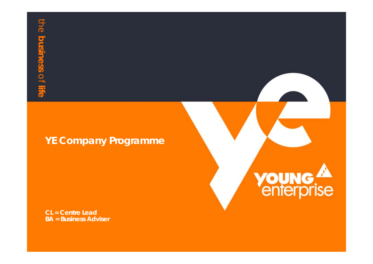### **YE Company Programme**

**CL = Centre Lead BA = Business Adviser**

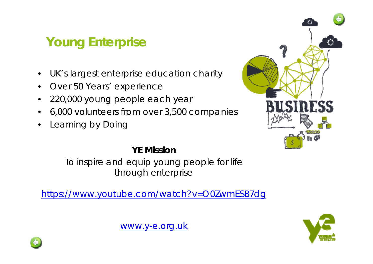# **Young Enterprise**

- •UK's largest enterprise education charity
- $\bullet$ Over 50 Years' experience
- $\bullet$ 220,000 young people each year
- •6,000 volunteers from over 3,500 companies
- •Learning by Doing



#### **YE Mission**

To inspire and equip young people for life through enterprise

https://www.youtube.com/watch?v=O0ZwmESB7dg



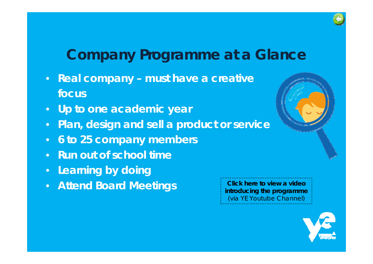# **Company Programme at a Glance**

- **Real company – must have a creative focus**
- **Up to one academic year**
- **Plan, design and sell a product or service**
- **6 to 25 company members**
- **Run out of school time**
- **Learning by doing**
- **Attend Board Meetings**



**Click here to view a video introducing the programme** (via YE Youtube Channel)

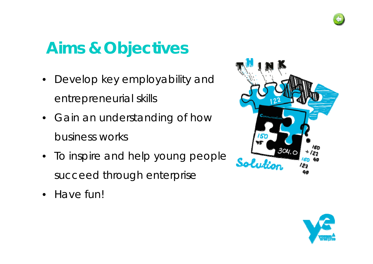

# **Aims & Objectives**

- • Develop key employability and entrepreneurial skills
- Gain an understanding of how business works
- To inspire and help young people succeed through enterprise
- $\bullet$ Have fun!



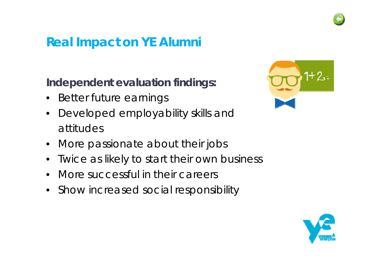

## **Real Impact on YE Alumni**

## **Independent evaluation findings:**

- Better future earnings
- • Developed employability skills and attitudes
- More passionate about their jobs
- •Twice as likely to start their own business
- •More successful in their careers
- Show increased social responsibility



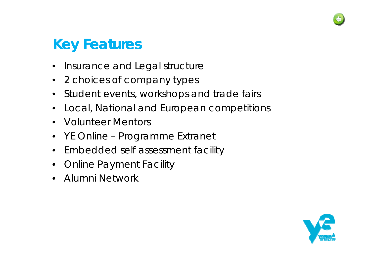

# **Key Features**

- •Insurance and Legal structure
- 2 choices of company types
- $\bullet$ Student events, workshops and trade fairs
- •Local, National and European competitions
- •Volunteer Mentors
- YE Online Programme Extranet
- $\bullet$ Embedded self assessment facility
- •Online Payment Facility
- •Alumni Network

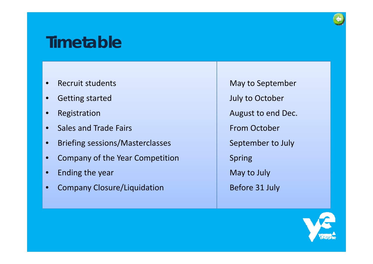# **Timetable**

- •Recruit students
- •Getting started
- •Registration
- •• Sales and Trade Fairs
- •Briefing sessions/Masterclasses
- •Company of the Year Competition
- •Ending the year
- •Company Closure/Liquidation

May to September July to October August to end Dec. From October September to July Spring May to July Before 31 July

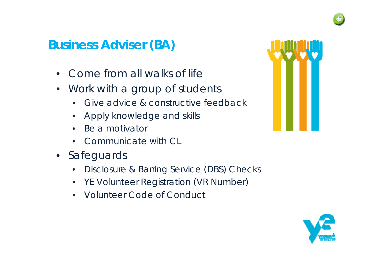## **Business Adviser (BA)**

- $\bullet$ Come from all walks of life
- $\bullet$  Work with a group of students
	- $\bullet$ Give advice & constructive feedback
	- $\bullet$ Apply knowledge and skills
	- $\bullet$ Be a motivator
	- •Communicate with CL
- Safeguards
	- $\bullet$ Disclosure & Barring Service (DBS) Checks
	- YE Volunteer Registration (VR Number)
	- •Volunteer Code of Conduct



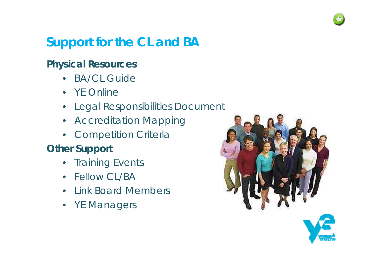

# **Support for the CL and BA**

## **Physical Resources**

- $\bullet$ BA/CL Guide
- YE Online
- Legal Responsibilities Document
- Accreditation Mapping
- Competition Criteria

## **Other Support**

- $\bullet$ Training Events
- Fellow CL/BA
- $\bullet$ • Link Board Members
- YE Managers